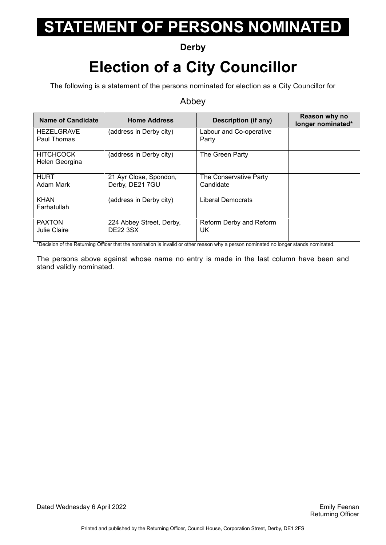### **Derby**

## **Election of a City Councillor**

The following is a statement of the persons nominated for election as a City Councillor for

#### Abbey

| <b>Name of Candidate</b>           | <b>Home Address</b>                         | Description (if any)                | Reason why no<br>longer nominated* |
|------------------------------------|---------------------------------------------|-------------------------------------|------------------------------------|
| <b>HEZELGRAVE</b><br>Paul Thomas   | (address in Derby city)                     | Labour and Co-operative<br>Party    |                                    |
| <b>HITCHCOCK</b><br>Helen Georgina | (address in Derby city)                     | The Green Party                     |                                    |
| <b>HURT</b><br>Adam Mark           | 21 Ayr Close, Spondon,<br>Derby, DE21 7GU   | The Conservative Party<br>Candidate |                                    |
| <b>KHAN</b><br>Farhatullah         | (address in Derby city)                     | <b>Liberal Democrats</b>            |                                    |
| <b>PAXTON</b><br>Julie Claire      | 224 Abbey Street, Derby,<br><b>DE22 3SX</b> | Reform Derby and Reform<br>UK       |                                    |

\*Decision of the Returning Officer that the nomination is invalid or other reason why a person nominated no longer stands nominated.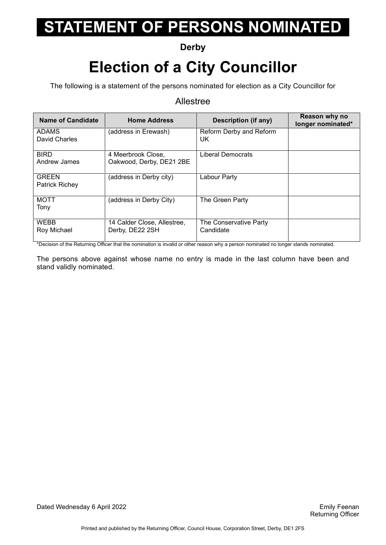### **Derby**

## **Election of a City Councillor**

The following is a statement of the persons nominated for election as a City Councillor for

#### Allestree

| <b>Name of Candidate</b>              | <b>Home Address</b>                            | <b>Description (if any)</b>         | Reason why no<br>longer nominated* |
|---------------------------------------|------------------------------------------------|-------------------------------------|------------------------------------|
| <b>ADAMS</b><br>David Charles         | (address in Erewash)                           | Reform Derby and Reform<br>UK.      |                                    |
| <b>BIRD</b><br>Andrew James           | 4 Meerbrook Close,<br>Oakwood, Derby, DE21 2BE | Liberal Democrats                   |                                    |
| <b>GREEN</b><br><b>Patrick Richey</b> | (address in Derby city)                        | Labour Party                        |                                    |
| <b>MOTT</b><br>Tony                   | (address in Derby City)                        | The Green Party                     |                                    |
| <b>WEBB</b><br>Roy Michael            | 14 Calder Close, Allestree,<br>Derby, DE22 2SH | The Conservative Party<br>Candidate |                                    |

\*Decision of the Returning Officer that the nomination is invalid or other reason why a person nominated no longer stands nominated.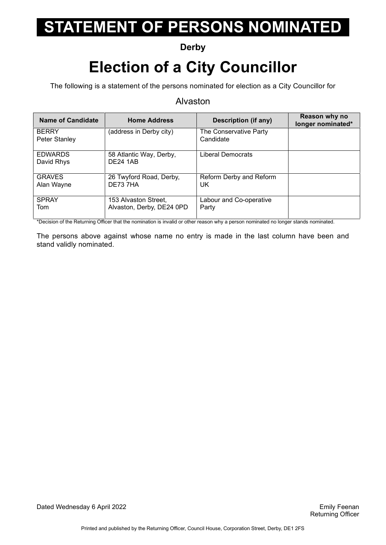### **Derby**

## **Election of a City Councillor**

The following is a statement of the persons nominated for election as a City Councillor for

#### Alvaston

| Name of Candidate             | <b>Home Address</b>                               | Description (if any)                | Reason why no<br>longer nominated* |
|-------------------------------|---------------------------------------------------|-------------------------------------|------------------------------------|
| <b>BERRY</b><br>Peter Stanley | (address in Derby city)                           | The Conservative Party<br>Candidate |                                    |
| <b>EDWARDS</b><br>David Rhys  | 58 Atlantic Way, Derby,<br><b>DE24 1AB</b>        | Liberal Democrats                   |                                    |
| <b>GRAVES</b><br>Alan Wayne   | 26 Twyford Road, Derby,<br>DE737HA                | Reform Derby and Reform<br>UK.      |                                    |
| <b>SPRAY</b><br>Tom           | 153 Alvaston Street,<br>Alvaston, Derby, DE24 0PD | Labour and Co-operative<br>Party    |                                    |

\*Decision of the Returning Officer that the nomination is invalid or other reason why a person nominated no longer stands nominated.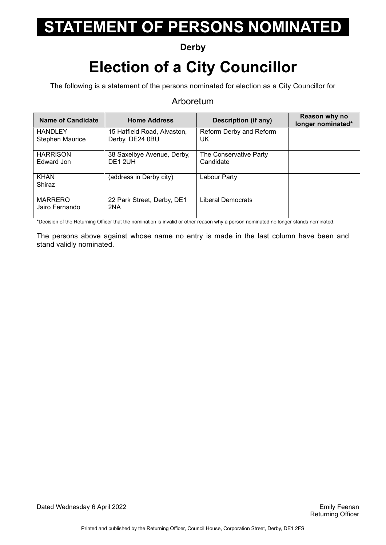### **Derby**

## **Election of a City Councillor**

The following is a statement of the persons nominated for election as a City Councillor for

#### Arboretum

| Name of Candidate                        | <b>Home Address</b>                            | Description (if any)                | Reason why no<br>longer nominated* |
|------------------------------------------|------------------------------------------------|-------------------------------------|------------------------------------|
| <b>HANDLEY</b><br><b>Stephen Maurice</b> | 15 Hatfield Road, Alvaston,<br>Derby, DE24 0BU | Reform Derby and Reform<br>UK       |                                    |
| <b>HARRISON</b><br>Edward Jon            | 38 Saxelbye Avenue, Derby,<br><b>DE1 2UH</b>   | The Conservative Party<br>Candidate |                                    |
| <b>KHAN</b><br>Shiraz                    | (address in Derby city)                        | Labour Party                        |                                    |
| <b>MARRERO</b><br>Jairo Fernando         | 22 Park Street, Derby, DE1<br>2NA              | Liberal Democrats                   |                                    |

\*Decision of the Returning Officer that the nomination is invalid or other reason why a person nominated no longer stands nominated.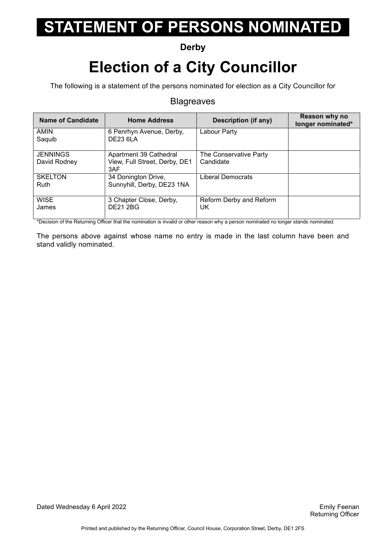### **Derby**

## **Election of a City Councillor**

The following is a statement of the persons nominated for election as a City Councillor for

#### **Blagreaves**

| Name of Candidate               | <b>Home Address</b>                                            | <b>Description (if any)</b>         | Reason why no<br>longer nominated* |
|---------------------------------|----------------------------------------------------------------|-------------------------------------|------------------------------------|
| <b>AMIN</b><br>Saquib           | 6 Penrhyn Avenue, Derby,<br><b>DE23 6LA</b>                    | Labour Party                        |                                    |
| <b>JENNINGS</b><br>David Rodney | Apartment 39 Cathedral<br>View, Full Street, Derby, DE1<br>3AF | The Conservative Party<br>Candidate |                                    |
| <b>SKELTON</b><br>Ruth          | 34 Donington Drive,<br>Sunnyhill, Derby, DE23 1NA              | <b>Liberal Democrats</b>            |                                    |
| <b>WISE</b><br>James            | 3 Chapter Close, Derby,<br><b>DE21 2BG</b>                     | Reform Derby and Reform<br>UK       |                                    |

\*Decision of the Returning Officer that the nomination is invalid or other reason why a person nominated no longer stands nominated.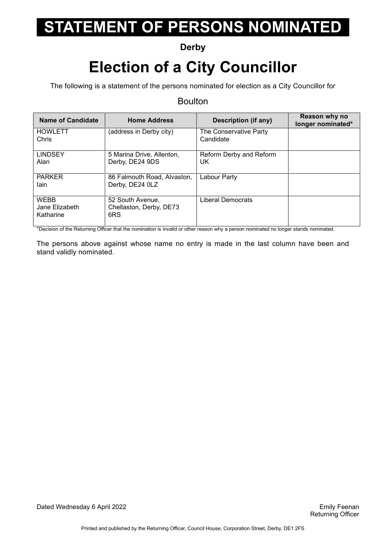### **Derby**

## **Election of a City Councillor**

The following is a statement of the persons nominated for election as a City Councillor for

#### Boulton

| <b>Name of Candidate</b>                   | <b>Home Address</b>                                | <b>Description (if any)</b>         | Reason why no<br>longer nominated* |
|--------------------------------------------|----------------------------------------------------|-------------------------------------|------------------------------------|
| <b>HOWLETT</b><br>Chris                    | (address in Derby city)                            | The Conservative Party<br>Candidate |                                    |
| <b>LINDSEY</b><br>Alan                     | 5 Marina Drive, Allenton,<br>Derby, DE24 9DS       | Reform Derby and Reform<br>UK       |                                    |
| <b>PARKER</b><br>lain                      | 86 Falmouth Road, Alvaston,<br>Derby, DE24 0LZ     | Labour Party                        |                                    |
| <b>WEBB</b><br>Jane Elizabeth<br>Katharine | 52 South Avenue,<br>Chellaston, Derby, DE73<br>6RS | Liberal Democrats                   |                                    |

\*Decision of the Returning Officer that the nomination is invalid or other reason why a person nominated no longer stands nominated.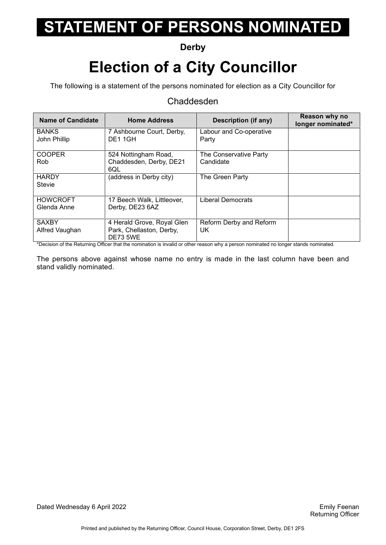### **Derby**

## **Election of a City Councillor**

The following is a statement of the persons nominated for election as a City Councillor for

#### Chaddesden

| Name of Candidate | <b>Home Address</b>                         | Description (if any)     | Reason why no<br>longer nominated* |
|-------------------|---------------------------------------------|--------------------------|------------------------------------|
| <b>BANKS</b>      | 7 Ashbourne Court, Derby,                   | Labour and Co-operative  |                                    |
| John Phillip      | DE11GH                                      | Party                    |                                    |
| <b>COOPER</b>     | 524 Nottingham Road,                        | The Conservative Party   |                                    |
| Rob.              | Chaddesden, Derby, DE21<br>6QL              | Candidate                |                                    |
| <b>HARDY</b>      | (address in Derby city)                     | The Green Party          |                                    |
| <b>Stevie</b>     |                                             |                          |                                    |
| <b>HOWCROFT</b>   | 17 Beech Walk, Littleover,                  | <b>Liberal Democrats</b> |                                    |
| Glenda Anne       | Derby, DE23 6AZ                             |                          |                                    |
| <b>SAXBY</b>      | 4 Herald Grove, Royal Glen                  | Reform Derby and Reform  |                                    |
| Alfred Vaughan    | Park, Chellaston, Derby,<br><b>DE73 5WE</b> | UK.                      |                                    |

\*Decision of the Returning Officer that the nomination is invalid or other reason why a person nominated no longer stands nominated.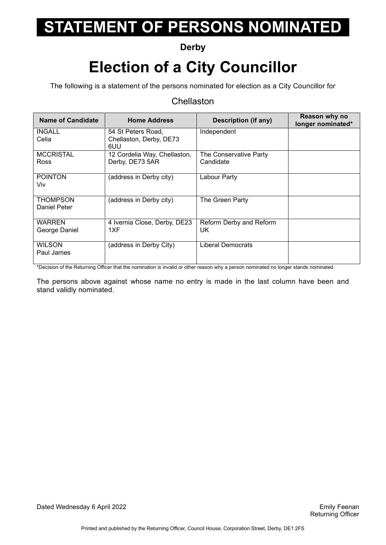### **Derby**

## **Election of a City Councillor**

The following is a statement of the persons nominated for election as a City Councillor for

#### **Chellaston**

| <b>Name of Candidate</b>        | <b>Home Address</b>                                  | <b>Description (if any)</b>         | Reason why no<br>longer nominated* |
|---------------------------------|------------------------------------------------------|-------------------------------------|------------------------------------|
| <b>INGALL</b><br>Celia          | 54 St Peters Road,<br>Chellaston, Derby, DE73<br>6UU | Independent                         |                                    |
| <b>MCCRISTAL</b><br><b>Ross</b> | 12 Cordelia Way, Chellaston,<br>Derby, DE73 5AR      | The Conservative Party<br>Candidate |                                    |
| <b>POINTON</b><br>Viv           | (address in Derby city)                              | Labour Party                        |                                    |
| <b>THOMPSON</b><br>Daniel Peter | (address in Derby city)                              | The Green Party                     |                                    |
| <b>WARREN</b><br>George Daniel  | 4 Ivernia Close, Derby, DE23<br>1XF                  | Reform Derby and Reform<br>UK.      |                                    |
| WILSON<br>Paul James            | (address in Derby City)                              | Liberal Democrats                   |                                    |

\*Decision of the Returning Officer that the nomination is invalid or other reason why a person nominated no longer stands nominated.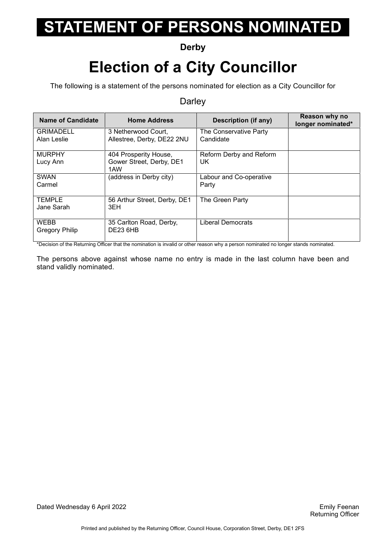### **Derby**

## **Election of a City Councillor**

The following is a statement of the persons nominated for election as a City Councillor for

#### **Darley**

| <b>Name of Candidate</b>      | <b>Home Address</b>                        | Description (if any)    | Reason why no<br>longer nominated* |
|-------------------------------|--------------------------------------------|-------------------------|------------------------------------|
| <b>GRIMADELL</b>              | 3 Netherwood Court.                        | The Conservative Party  |                                    |
| Alan Leslie                   | Allestree, Derby, DE22 2NU                 | Candidate               |                                    |
| <b>MURPHY</b>                 | 404 Prosperity House,                      | Reform Derby and Reform |                                    |
| Lucy Ann                      | Gower Street, Derby, DE1<br>1AW            | UK.                     |                                    |
| <b>SWAN</b>                   | (address in Derby city)                    | Labour and Co-operative |                                    |
| Carmel                        |                                            | Party                   |                                    |
| <b>TEMPLE</b><br>Jane Sarah   | 56 Arthur Street, Derby, DE1<br>3EH        | The Green Party         |                                    |
|                               |                                            |                         |                                    |
| <b>WEBB</b><br>Gregory Philip | 35 Carlton Road, Derby,<br><b>DE23 6HB</b> | Liberal Democrats       |                                    |
|                               |                                            |                         |                                    |

\*Decision of the Returning Officer that the nomination is invalid or other reason why a person nominated no longer stands nominated.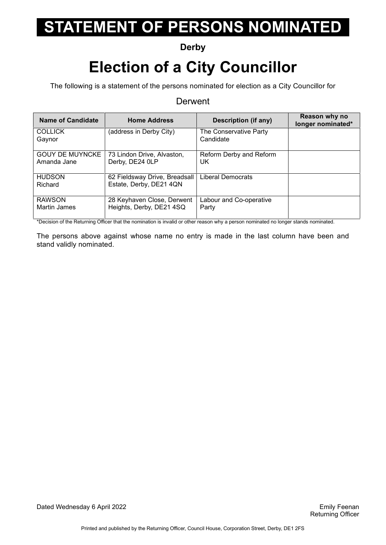### **Derby**

## **Election of a City Councillor**

The following is a statement of the persons nominated for election as a City Councillor for

#### **Derwent**

| <b>Name of Candidate</b>              | <b>Home Address</b>                                      | Description (if any)                | Reason why no<br>longer nominated* |
|---------------------------------------|----------------------------------------------------------|-------------------------------------|------------------------------------|
| <b>COLLICK</b><br>Gaynor              | (address in Derby City)                                  | The Conservative Party<br>Candidate |                                    |
| <b>GOUY DE MUYNCKE</b><br>Amanda Jane | 73 Lindon Drive, Alvaston,<br>Derby, DE24 0LP            | Reform Derby and Reform<br>UK       |                                    |
| <b>HUDSON</b><br>Richard              | 62 Fieldsway Drive, Breadsall<br>Estate, Derby, DE21 4QN | <b>Liberal Democrats</b>            |                                    |
| <b>RAWSON</b><br>Martin James         | 28 Keyhaven Close, Derwent<br>Heights, Derby, DE21 4SQ   | Labour and Co-operative<br>Party    |                                    |

\*Decision of the Returning Officer that the nomination is invalid or other reason why a person nominated no longer stands nominated.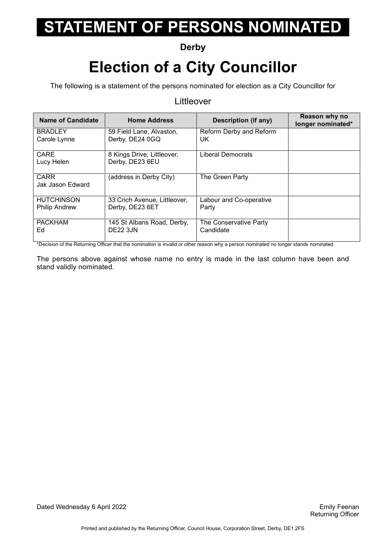### **Derby**

## **Election of a City Councillor**

The following is a statement of the persons nominated for election as a City Councillor for

#### Littleover

| <b>Name of Candidate</b> | <b>Home Address</b>                           | <b>Description (if any)</b> | Reason why no<br>longer nominated* |
|--------------------------|-----------------------------------------------|-----------------------------|------------------------------------|
| <b>BRADLEY</b>           | 59 Field Lane, Alvaston,                      | Reform Derby and Reform     |                                    |
| Carole Lynne             | Derby, DE24 0GQ                               | UK.                         |                                    |
| CARE                     | 8 Kings Drive, Littleover,<br>Derby, DE23 6EU | Liberal Democrats           |                                    |
| Lucy Helen               |                                               |                             |                                    |
| <b>CARR</b>              | (address in Derby City)                       | The Green Party             |                                    |
| Jak Jason Edward         |                                               |                             |                                    |
| <b>HUTCHINSON</b>        | 33 Crich Avenue, Littleover,                  | Labour and Co-operative     |                                    |
| <b>Philip Andrew</b>     | Derby, DE23 6ET                               | Party                       |                                    |
| <b>PACKHAM</b>           | 145 St Albans Road, Derby,                    | The Conservative Party      |                                    |
| Ed                       | <b>DE22 3JN</b>                               | Candidate                   |                                    |

\*Decision of the Returning Officer that the nomination is invalid or other reason why a person nominated no longer stands nominated.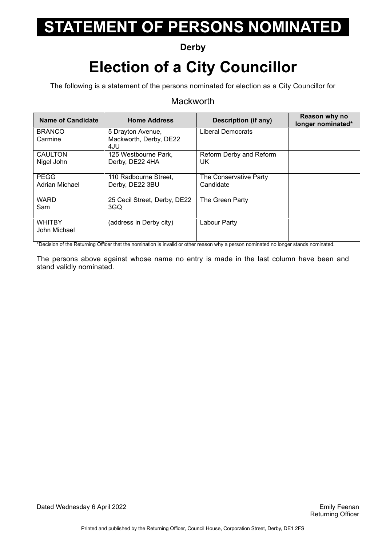### **Derby**

## **Election of a City Councillor**

The following is a statement of the persons nominated for election as a City Councillor for

#### **Mackworth**

| <b>Name of Candidate</b> | <b>Home Address</b>          | <b>Description (if any)</b> | Reason why no<br>longer nominated* |
|--------------------------|------------------------------|-----------------------------|------------------------------------|
| <b>BRANCO</b>            | 5 Drayton Avenue,            | <b>Liberal Democrats</b>    |                                    |
| Carmine                  | Mackworth, Derby, DE22       |                             |                                    |
|                          | 4JU                          |                             |                                    |
| <b>CAULTON</b>           | 125 Westbourne Park.         | Reform Derby and Reform     |                                    |
| Nigel John               | Derby, DE22 4HA              | UK                          |                                    |
|                          |                              |                             |                                    |
| <b>PEGG</b>              | 110 Radbourne Street,        | The Conservative Party      |                                    |
| Adrian Michael           | Derby, DE22 3BU              | Candidate                   |                                    |
|                          |                              |                             |                                    |
| <b>WARD</b>              | 25 Cecil Street, Derby, DE22 | The Green Party             |                                    |
| Sam                      | 3GQ                          |                             |                                    |
|                          |                              |                             |                                    |
| <b>WHITBY</b>            | (address in Derby city)      | Labour Party                |                                    |
| John Michael             |                              |                             |                                    |
|                          |                              |                             |                                    |

\*Decision of the Returning Officer that the nomination is invalid or other reason why a person nominated no longer stands nominated.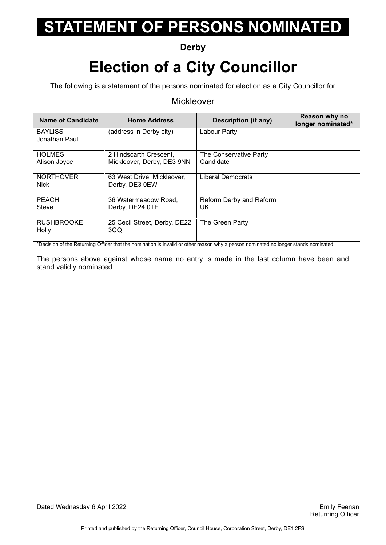### **Derby**

## **Election of a City Councillor**

The following is a statement of the persons nominated for election as a City Councillor for

#### Mickleover

| <b>Name of Candidate</b>        | <b>Home Address</b>                                  | <b>Description (if any)</b>         | Reason why no<br>longer nominated* |
|---------------------------------|------------------------------------------------------|-------------------------------------|------------------------------------|
| <b>BAYLISS</b><br>Jonathan Paul | (address in Derby city)                              | Labour Party                        |                                    |
| <b>HOLMES</b><br>Alison Joyce   | 2 Hindscarth Crescent,<br>Mickleover, Derby, DE3 9NN | The Conservative Party<br>Candidate |                                    |
| <b>NORTHOVER</b><br>Nick        | 63 West Drive, Mickleover,<br>Derby, DE3 0EW         | <b>Liberal Democrats</b>            |                                    |
| <b>PEACH</b><br>Steve           | 36 Watermeadow Road,<br>Derby, DE24 0TE              | Reform Derby and Reform<br>UK.      |                                    |
| <b>RUSHBROOKE</b><br>Holly      | 25 Cecil Street, Derby, DE22<br>3GQ                  | The Green Party                     |                                    |

\*Decision of the Returning Officer that the nomination is invalid or other reason why a person nominated no longer stands nominated.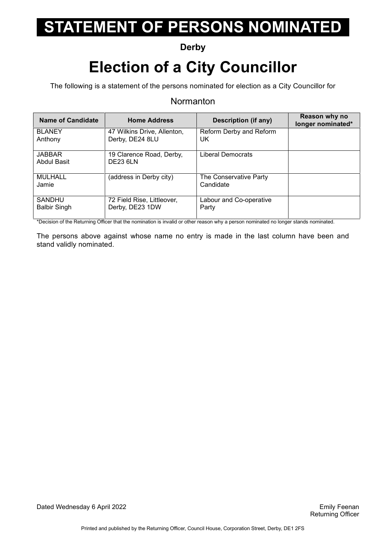### **Derby**

## **Election of a City Councillor**

The following is a statement of the persons nominated for election as a City Councillor for

#### **Normanton**

| <b>Name of Candidate</b>             | <b>Home Address</b>                            | <b>Description (if any)</b>         | Reason why no<br>longer nominated* |
|--------------------------------------|------------------------------------------------|-------------------------------------|------------------------------------|
| <b>BLANEY</b><br>Anthony             | 47 Wilkins Drive, Allenton,<br>Derby, DE24 8LU | Reform Derby and Reform<br>UK       |                                    |
| <b>JABBAR</b><br>Abdul Basit         | 19 Clarence Road, Derby,<br><b>DE23 6LN</b>    | <b>Liberal Democrats</b>            |                                    |
| MULHALL<br>Jamie                     | (address in Derby city)                        | The Conservative Party<br>Candidate |                                    |
| <b>SANDHU</b><br><b>Balbir Singh</b> | 72 Field Rise, Littleover,<br>Derby, DE23 1DW  | Labour and Co-operative<br>Party    |                                    |

\*Decision of the Returning Officer that the nomination is invalid or other reason why a person nominated no longer stands nominated.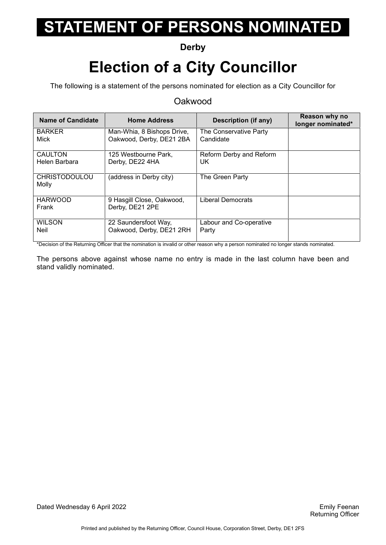### **Derby**

## **Election of a City Councillor**

The following is a statement of the persons nominated for election as a City Councillor for

#### Oakwood

| <b>Name of Candidate</b>      | <b>Home Address</b>                          | Description (if any)    | Reason why no<br>longer nominated* |
|-------------------------------|----------------------------------------------|-------------------------|------------------------------------|
| <b>BARKER</b>                 | Man-Whia, 8 Bishops Drive,                   | The Conservative Party  |                                    |
| Mick                          | Oakwood, Derby, DE21 2BA                     | Candidate               |                                    |
| <b>CAULTON</b>                | 125 Westbourne Park,                         | Reform Derby and Reform |                                    |
| Helen Barbara                 | Derby, DE22 4HA                              | UK.                     |                                    |
| <b>CHRISTODOULOU</b><br>Molly | (address in Derby city)                      | The Green Party         |                                    |
| <b>HARWOOD</b><br>Frank       | 9 Hasgill Close, Oakwood,<br>Derby, DE21 2PE | Liberal Democrats       |                                    |
| <b>WILSON</b>                 | 22 Saundersfoot Way,                         | Labour and Co-operative |                                    |
| <b>Neil</b>                   | Oakwood, Derby, DE21 2RH                     | Party                   |                                    |

\*Decision of the Returning Officer that the nomination is invalid or other reason why a person nominated no longer stands nominated.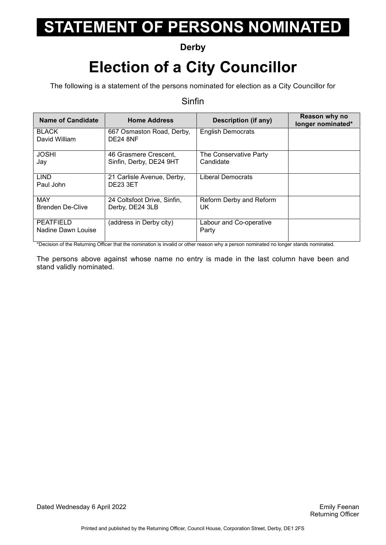### **Derby**

## **Election of a City Councillor**

The following is a statement of the persons nominated for election as a City Councillor for

#### Sinfin

| <b>Name of Candidate</b>               | <b>Home Address</b>                              | Description (if any)                | Reason why no<br>longer nominated* |
|----------------------------------------|--------------------------------------------------|-------------------------------------|------------------------------------|
| <b>BLACK</b><br>David William          | 667 Osmaston Road, Derby,<br><b>DE24 8NF</b>     | <b>English Democrats</b>            |                                    |
| <b>JOSHI</b><br>Jay                    | 46 Grasmere Crescent,<br>Sinfin, Derby, DE24 9HT | The Conservative Party<br>Candidate |                                    |
| <b>LIND</b><br>Paul John               | 21 Carlisle Avenue, Derby,<br><b>DE23 3ET</b>    | <b>Liberal Democrats</b>            |                                    |
| <b>MAY</b><br>Brenden De-Clive         | 24 Coltsfoot Drive, Sinfin,<br>Derby, DE24 3LB   | Reform Derby and Reform<br>UK.      |                                    |
| <b>PEATFIELD</b><br>Nadine Dawn Louise | (address in Derby city)                          | Labour and Co-operative<br>Party    |                                    |

\*Decision of the Returning Officer that the nomination is invalid or other reason why a person nominated no longer stands nominated.